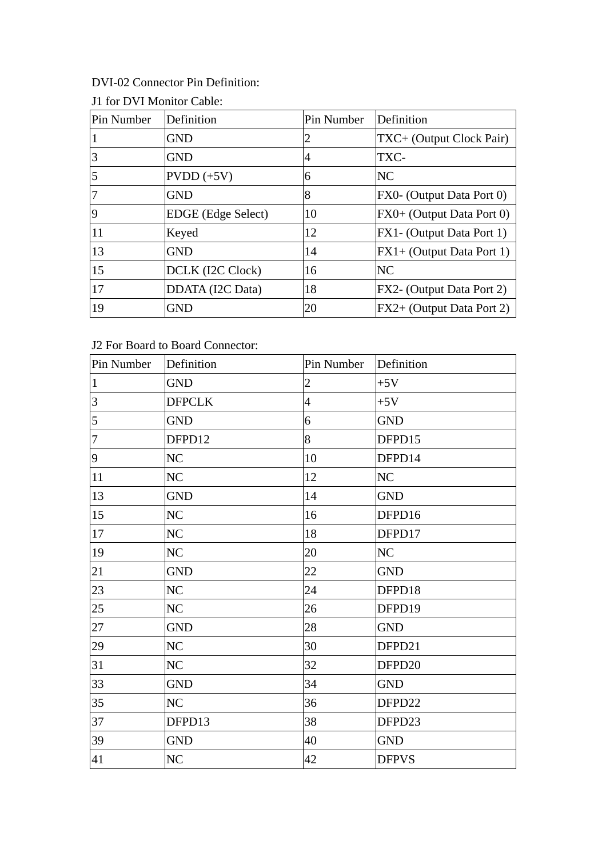## DVI-02 Connector Pin Definition:

| Pin Number | Definition         | Pin Number     | Definition                 |
|------------|--------------------|----------------|----------------------------|
|            | <b>GND</b>         | 2              | TXC+ (Output Clock Pair)   |
| 3          | <b>GND</b>         | $\overline{4}$ | TXC-                       |
|            | $PVDD (+5V)$       | 6              | <b>NC</b>                  |
|            | <b>GND</b>         | 8              | FX0- (Output Data Port 0)  |
| <b>9</b>   | EDGE (Edge Select) | 10             | FX0+ (Output Data Port 0)  |
| 11         | Keyed              | 12             | FX1 - (Output Data Port 1) |
| 13         | <b>GND</b>         | 14             | FX1+ (Output Data Port 1)  |
| 15         | DCLK (I2C Clock)   | 16             | <b>NC</b>                  |
| 17         | DDATA (I2C Data)   | 18             | FX2- (Output Data Port 2)  |
| 19         | <b>GND</b>         | 20             | FX2+ (Output Data Port 2)  |

## J1 for DVI Monitor Cable:

## J2 For Board to Board Connector:

| Pin Number     | Definition     | Pin Number     | Definition     |
|----------------|----------------|----------------|----------------|
| $\vert$ 1      | <b>GND</b>     | $\overline{2}$ | $+5V$          |
| 3              | <b>DFPCLK</b>  | $\overline{4}$ | $+5V$          |
| $\overline{5}$ | <b>GND</b>     | 6              | <b>GND</b>     |
| $\overline{7}$ | DFPD12         | 8              | DFPD15         |
| 9              | NC             | 10             | DFPD14         |
| 11             | NC             | 12             | N <sub>C</sub> |
| 13             | <b>GND</b>     | 14             | <b>GND</b>     |
| 15             | N <sub>C</sub> | 16             | DFPD16         |
| 17             | NC             | 18             | DFPD17         |
| 19             | NC             | 20             | NC             |
| 21             | <b>GND</b>     | 22             | <b>GND</b>     |
| 23             | NC             | 24             | DFPD18         |
| 25             | NC             | 26             | DFPD19         |
| 27             | <b>GND</b>     | 28             | <b>GND</b>     |
| 29             | NC             | 30             | DFPD21         |
| 31             | N <sub>C</sub> | 32             | DFPD20         |
| 33             | <b>GND</b>     | 34             | <b>GND</b>     |
| 35             | <b>NC</b>      | 36             | DFPD22         |
| 37             | DFPD13         | 38             | DFPD23         |
| 39             | <b>GND</b>     | 40             | <b>GND</b>     |
| 41             | <b>NC</b>      | 42             | <b>DFPVS</b>   |